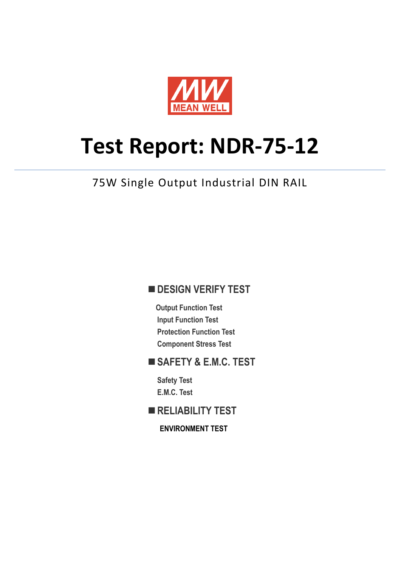

# **Test Report: NDR-75-12**

75W Single Output Industrial DIN RAIL

## **DESIGN VERIFY TEST**

**Output Function Test Input Function Test Protection Function Test Component Stress Test**

## **SAFETY & E.M.C. TEST**

**Safety Test E.M.C. Test**

**RELIABILITY TEST**

**ENVIRONMENT TEST**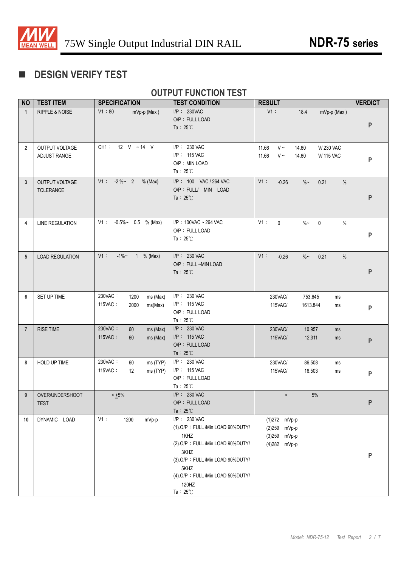

# **DESIGN VERIFY TEST**

## **OUTPUT FUNCTION TEST**

| <b>NO</b>      | <b>TEST ITEM</b>                          | <b>SPECIFICATION</b>                                      | <b>TEST CONDITION</b>                                                                                                                                                                                               | <b>RESULT</b>                                                                              | <b>VERDICT</b> |
|----------------|-------------------------------------------|-----------------------------------------------------------|---------------------------------------------------------------------------------------------------------------------------------------------------------------------------------------------------------------------|--------------------------------------------------------------------------------------------|----------------|
| $\overline{1}$ | RIPPLE & NOISE                            | V1:80<br>mVp-p (Max)                                      | I/P: 230VAC<br>O/P: FULL LOAD<br>Ta: $25^{\circ}$ C                                                                                                                                                                 | $V1$ :<br>18.4<br>mVp-p (Max)                                                              | P              |
| $\overline{2}$ | OUTPUT VOLTAGE<br>ADJUST RANGE            | CH1: 12 V ~14 V                                           | I/P: 230 VAC<br>I/P: 115 VAC<br>O/P: MIN LOAD<br>Ta: $25^{\circ}$ C                                                                                                                                                 | $V \sim$<br>V/230 VAC<br>11.66<br>14.60<br>11.66<br>$V \sim$<br>14.60<br><b>V/ 115 VAC</b> | P              |
| $\mathbf{3}$   | <b>OUTPUT VOLTAGE</b><br><b>TOLERANCE</b> | $V1: -2\%~ 2$<br>% (Max)                                  | I/P: 100 VAC / 264 VAC<br>O/P : FULL/ MIN LOAD<br>Ta: $25^{\circ}$ C                                                                                                                                                | V1:<br>$-0.26$<br>$\%$ ~<br>0.21<br>$\%$                                                   | P              |
| 4              | <b>LINE REGULATION</b>                    | $V1: -0.5\% \sim 0.5$ % (Max)                             | I/P: 100VAC ~ 264 VAC<br>O/P: FULL LOAD<br>Ta: $25^{\circ}$ C                                                                                                                                                       | V1:<br>$\mathbf 0$<br>$\%$ ~<br>$\mathbf 0$<br>$\%$                                        | P              |
| 5              | <b>LOAD REGULATION</b>                    | $-1\%$ ~ 1 % (Max)<br>V1:                                 | I/P: 230 VAC<br>O/P: FULL ~MIN LOAD<br>Ta: $25^{\circ}$ C                                                                                                                                                           | $V1$ :<br>$-0.26$<br>$\%$ $\sim$<br>0.21<br>$\%$                                           | P              |
| 6              | SET UP TIME                               | 230VAC:<br>1200<br>ms (Max)<br>115VAC:<br>2000<br>ms(Max) | I/P: 230 VAC<br>I/P: 115 VAC<br>O/P: FULL LOAD<br>Ta: $25^{\circ}$ C                                                                                                                                                | 230VAC/<br>753.645<br>ms<br>115VAC/<br>1613.844<br>ms                                      | P              |
| $\overline{7}$ | <b>RISE TIME</b>                          | 230VAC:<br>60<br>ms (Max)<br>115VAC:<br>ms (Max)<br>60    | $I/P$ : 230 VAC<br>I/P: 115 VAC<br>O/P: FULL LOAD<br>Ta: $25^{\circ}$ C                                                                                                                                             | 230VAC/<br>10.957<br>ms<br>115VAC/<br>12.311<br>ms                                         | P              |
| 8              | HOLD UP TIME                              | 230VAC:<br>60<br>ms (TYP)<br>115VAC:<br>ms (TYP)<br>12    | I/P: 230 VAC<br>I/P: 115 VAC<br>O/P: FULL LOAD<br>Ta: $25^{\circ}$ C                                                                                                                                                | 86.508<br>230VAC/<br>ms<br>115VAC/<br>16.503<br>ms                                         | P              |
| 9              | OVER/UNDERSHOOT<br>TEST                   | $< +5\%$                                                  | I/P: 230 VAC<br>O/P: FULL LOAD<br>Ta: $25^{\circ}$ C                                                                                                                                                                | 5%<br>$\,<$                                                                                |                |
| 10             | DYNAMIC LOAD                              | V1:<br>1200<br>mVp-p                                      | I/P: 230 VAC<br>(1).O/P: FULL /Min LOAD 90%DUTY/<br>1KHZ<br>(2).O/P: FULL /Min LOAD 90%DUTY/<br>3KHZ<br>(3) O/P: FULL /Min LOAD 90%DUTY/<br>5KHZ<br>(4) O/P: FULL /Min LOAD 50%DUTY/<br>120HZ<br>Ta: $25^{\circ}$ C | $(1)$ 272 mVp-p<br>(2)259 mVp-p<br>(3)259 mVp-p<br>(4)282 mVp-p                            | P              |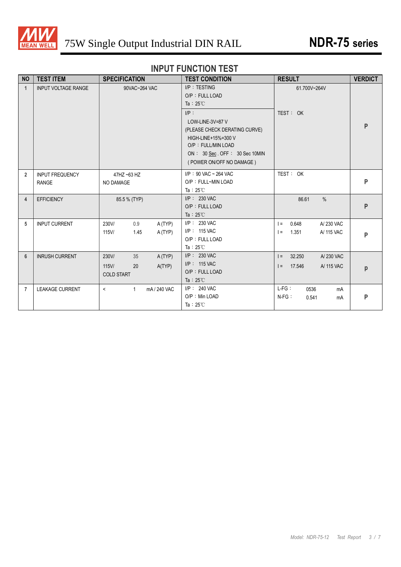

# **INPUT FUNCTION TEST**

| <b>NO</b>      | <b>TEST ITEM</b>                       | <b>SPECIFICATION</b>                                                   | <b>TEST CONDITION</b>                                                                                                                                                                                                             | <b>RESULT</b>                                                   | <b>VERDICT</b> |
|----------------|----------------------------------------|------------------------------------------------------------------------|-----------------------------------------------------------------------------------------------------------------------------------------------------------------------------------------------------------------------------------|-----------------------------------------------------------------|----------------|
| $\overline{1}$ | <b>INPUT VOLTAGE RANGE</b>             | 90VAC~264 VAC                                                          | $I/P$ : TESTING<br>O/P: FULL LOAD<br>Ta: $25^{\circ}$ C<br>$I/P$ :<br>LOW-LINE-3V=87 V<br>(PLEASE CHECK DERATING CURVE)<br>HIGH-LINE+15%=300 V<br>O/P: FULL/MIN LOAD<br>ON: 30 Sec. OFF: 30 Sec 10MIN<br>(POWER ON/OFF NO DAMAGE) | 61.700V~264V<br>TEST: OK                                        | P              |
| $\overline{2}$ | <b>INPUT FREQUENCY</b><br><b>RANGE</b> | 47HZ ~63 HZ<br>NO DAMAGE                                               | $I/P$ : 90 VAC ~ 264 VAC<br>O/P: FULL~MIN LOAD<br>Ta: $25^{\circ}$ C                                                                                                                                                              | TEST: OK                                                        | P              |
| 4              | <b>EFFICIENCY</b>                      | 85.5 % (TYP)                                                           | $I/P$ : 230 VAC<br>O/P: FULL LOAD<br>Ta: $25^{\circ}$ C                                                                                                                                                                           | 86.61<br>$\%$                                                   | P              |
| 5              | <b>INPUT CURRENT</b>                   | 230V/<br>0.9<br>A (TYP)<br>1.45<br>115V/<br>A (TYP)                    | $I/P$ : 230 VAC<br>I/P: 115 VAC<br>O/P: FULL LOAD<br>Ta: $25^{\circ}$ C                                                                                                                                                           | 0.648<br>A/230 VAC<br>$l =$<br>1.351<br>A/ 115 VAC<br>$=$       | P              |
| 6              | <b>INRUSH CURRENT</b>                  | 230V/<br>A(TYP)<br>35<br>$115$ V/<br>20<br>A(TYP)<br><b>COLD START</b> | $I/P$ : 230 VAC<br>$I/P$ : 115 VAC<br>O/P: FULL LOAD<br>Ta: $25^{\circ}$ C                                                                                                                                                        | 32.250<br>A/230 VAC<br>$\vert$ =<br>17.546<br>A/ 115 VAC<br>$=$ | p              |
| $\overline{7}$ | <b>LEAKAGE CURRENT</b>                 | $\mathbf{1}$<br>mA/240 VAC<br>$\prec$                                  | $I/P$ : 240 VAC<br>O/P: Min LOAD<br>Ta: $25^{\circ}$ C                                                                                                                                                                            | $L-FG$ :<br>0536<br>mA<br>$N-FG$ :<br>0.541<br>mA               | $\mathsf{P}$   |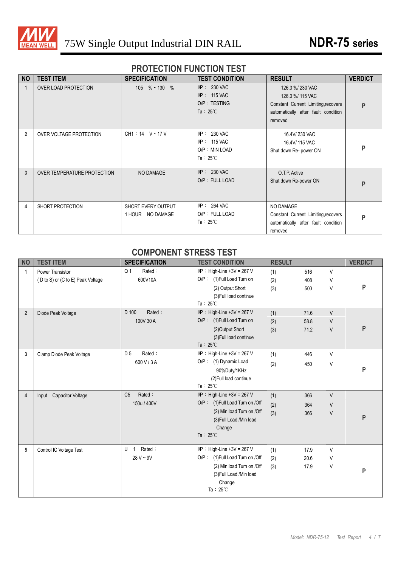

#### **PROTECTION FUNCTION TEST**

| <b>NO</b>      | <b>TEST ITEM</b>            | <b>SPECIFICATION</b>                   | <b>TEST CONDITION</b>                                                    | <b>RESULT</b>                                                                                                                | <b>VERDICT</b> |
|----------------|-----------------------------|----------------------------------------|--------------------------------------------------------------------------|------------------------------------------------------------------------------------------------------------------------------|----------------|
|                | OVER LOAD PROTECTION        | 105 $%$ ~ 130 $%$                      | $I/P$ : 230 VAC<br>$I/P$ : 115 VAC<br>O/P: TESTING<br>Ta: $25^{\circ}$ C | 126.3 %/230 VAC<br>126.0 %/ 115 VAC<br>Constant Current Limiting, recovers<br>automatically after fault condition<br>removed | P              |
| $\overline{2}$ | OVER VOLTAGE PROTECTION     | $CH1:14$ V ~ 17 V                      | I/P: 230 VAC<br>I/P: 115 VAC<br>O/P : MIN LOAD<br>Ta: $25^{\circ}$ C     | 16.4V/230 VAC<br>16.4V/ 115 VAC<br>Shut down Re- power ON                                                                    | P              |
| 3              | OVER TEMPERATURE PROTECTION | NO DAMAGE                              | $I/P$ : 230 VAC<br>O/P: FULL LOAD                                        | O.T.P. Active<br>Shut down Re-power ON                                                                                       | P              |
| 4              | SHORT PROTECTION            | SHORT EVERY OUTPUT<br>1 HOUR NO DAMAGE | $I/P$ : 264 VAC<br>O/P: FULL LOAD<br>Ta: $25^{\circ}$ C                  | NO DAMAGE<br>Constant Current Limiting, recovers<br>automatically after fault condition<br>removed                           | P              |

#### **COMPONENT STRESS TEST**

| <b>NO</b>      | <b>TEST ITEM</b>                  | <b>SPECIFICATION</b>          | <b>TEST CONDITION</b>          | <b>RESULT</b> |      |        | <b>VERDICT</b> |
|----------------|-----------------------------------|-------------------------------|--------------------------------|---------------|------|--------|----------------|
| 1              | <b>Power Transistor</b>           | Rated:<br>Q <sub>1</sub>      | $I/P$ : High-Line +3V = 267 V  | (1)           | 516  | V      |                |
|                | (D to S) or (C to E) Peak Voltage | 600V10A                       | O/P: (1)Full Load Turn on      | (2)           | 408  | V      |                |
|                |                                   |                               | (2) Output Short               | (3)           | 500  | V      | P              |
|                |                                   |                               | (3) Full load continue         |               |      |        |                |
|                |                                   |                               | Ta: $25^{\circ}$ C             |               |      |        |                |
| $\overline{2}$ | Diode Peak Voltage                | Rated:<br>D 100               | $I/P$ : High-Line +3V = 267 V  | (1)           | 71.6 | $\vee$ |                |
|                |                                   | 100V 30 A                     | O/P: (1)Full Load Turn on      | (2)           | 58.8 | V      |                |
|                |                                   |                               | (2) Output Short               | (3)           | 71.2 | $\vee$ | P              |
|                |                                   |                               | (3) Full load continue         |               |      |        |                |
|                |                                   |                               | Ta: $25^{\circ}$ C             |               |      |        |                |
| 3              | Clamp Diode Peak Voltage          | Rated:<br>D 5                 | $I/P$ : High-Line +3V = 267 V  | (1)           | 446  | $\vee$ |                |
|                |                                   | 600 V / 3 A                   | O/P : (1) Dynamic Load         | (2)           | 450  | V      |                |
|                |                                   |                               | 90%Duty/1KHz                   |               |      |        | P              |
|                |                                   |                               | (2) Full load continue         |               |      |        |                |
|                |                                   |                               | Ta: $25^{\circ}$ C             |               |      |        |                |
| 4              | Input Capacitor Voltage           | C <sub>5</sub><br>Rated:      | $I/P$ : High-Line +3V = 267 V  | (1)           | 366  | $\vee$ |                |
|                |                                   | 150u / 400V                   | O/P: (1)Full Load Turn on /Off | (2)           | 364  | $\vee$ |                |
|                |                                   |                               | (2) Min load Turn on /Off      | (3)           | 366  | V      |                |
|                |                                   |                               | (3) Full Load /Min load        |               |      |        | P              |
|                |                                   |                               | Change                         |               |      |        |                |
|                |                                   |                               | Ta: $25^{\circ}$ C             |               |      |        |                |
| 5              | Control IC Voltage Test           | Rated:<br>U<br>$\overline{1}$ | $I/P$ : High-Line +3V = 267 V  | (1)           | 17.9 | V      |                |
|                |                                   | $28 V - 9V$                   | O/P: (1)Full Load Turn on /Off | (2)           | 20.6 | V      |                |
|                |                                   |                               | (2) Min load Turn on /Off      | (3)           | 17.9 | V      |                |
|                |                                   |                               | (3) Full Load /Min load        |               |      |        | P              |
|                |                                   |                               | Change                         |               |      |        |                |
|                |                                   |                               | Ta: $25^{\circ}$ C             |               |      |        |                |
|                |                                   |                               |                                |               |      |        |                |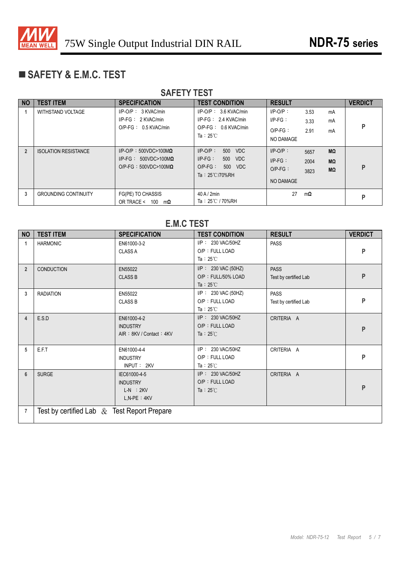

# **SAFETY & E.M.C. TEST**

| <b>SAFETY TEST</b> |                             |                                                                                                 |                                                                                                                 |                                                             |                                        |                |  |
|--------------------|-----------------------------|-------------------------------------------------------------------------------------------------|-----------------------------------------------------------------------------------------------------------------|-------------------------------------------------------------|----------------------------------------|----------------|--|
| <b>NO</b>          | <b>TEST ITEM</b>            | <b>SPECIFICATION</b>                                                                            | <b>TEST CONDITION</b>                                                                                           | <b>RESULT</b>                                               |                                        | <b>VERDICT</b> |  |
|                    | <b>WITHSTAND VOLTAGE</b>    | $I/P-O/P$ : 3 KVAC/min<br>$I/P-FG: 2$ KVAC/min<br>$O/P-FG: 0.5$ KVAC/min                        | $I/P$ -O/P: 3.6 KVAC/min<br>$I/P-FG: 2.4 KVAC/min$<br>$O/P-FG: 0.6$ KVAC/min<br>Ta: $25^{\circ}$ C              | $I/P-O/P$ :<br>$I/P-FG$ :<br>$O/P-FG$ :<br>NO DAMAGE        | 3.53<br>mA<br>mA<br>3.33<br>2.91<br>mA | P              |  |
| $\overline{2}$     | <b>ISOLATION RESISTANCE</b> | $I/P-O/P$ : 500VDC>100M $\Omega$<br>$I/P-FG: 500VDC>100M\Omega$<br>$O/P-FG : 500VDC>100M\Omega$ | $I/P$ -O/P:<br>500<br><b>VDC</b><br>$IP-FG$ :<br>500<br><b>VDC</b><br>$O/P-FG$ :<br>500<br>VDC<br>Ta: 25℃/70%RH | $I/P-O/P$ :<br>$I/P-FG$ :<br>$O/P-FG$ :<br><b>NO DAMAGE</b> | MΩ<br>5657<br>2004<br>MΩ<br>MΩ<br>3823 | P              |  |
| 3                  | <b>GROUNDING CONTINUITY</b> | FG(PE) TO CHASSIS<br>OR TRACE <<br>100<br>mΩ                                                    | $40$ A / $2$ min<br>Ta: 25℃ / 70%RH                                                                             | 27                                                          | mΩ                                     | D              |  |

|                | <b>E.M.C TEST</b>                              |                                                                     |                                                                 |                                      |                |  |  |
|----------------|------------------------------------------------|---------------------------------------------------------------------|-----------------------------------------------------------------|--------------------------------------|----------------|--|--|
| <b>NO</b>      | <b>TEST ITEM</b>                               | <b>SPECIFICATION</b>                                                | <b>TEST CONDITION</b>                                           | <b>RESULT</b>                        | <b>VERDICT</b> |  |  |
| 1              | <b>HARMONIC</b>                                | EN61000-3-2<br><b>CLASS A</b>                                       | I/P: 230 VAC/50HZ<br>O/P: FULL LOAD<br>Ta: $25^{\circ}$ C       | <b>PASS</b>                          | P              |  |  |
| $\overline{2}$ | <b>CONDUCTION</b>                              | EN55022<br><b>CLASS B</b>                                           | I/P: 230 VAC (50HZ)<br>O/P: FULL/50% LOAD<br>Ta: $25^{\circ}$ C | <b>PASS</b><br>Test by certified Lab | P              |  |  |
| 3              | <b>RADIATION</b>                               | EN55022<br><b>CLASS B</b>                                           | I/P: 230 VAC (50HZ)<br>O/P: FULL LOAD<br>Ta: $25^{\circ}$ C     | <b>PASS</b><br>Test by certified Lab | P              |  |  |
| 4              | E.S.D                                          | EN61000-4-2<br><b>INDUSTRY</b><br>AIR: 8KV / Contact: 4KV           | I/P: 230 VAC/50HZ<br>O/P: FULL LOAD<br>Ta : $25^{\circ}$ C      | CRITERIA A                           | P              |  |  |
| 5              | E.F.T                                          | EN61000-4-4<br><b>INDUSTRY</b><br>INPUT: 2KV                        | I/P: 230 VAC/50HZ<br>O/P: FULL LOAD<br>Ta: $25^{\circ}$ C       | CRITERIA A                           | P              |  |  |
| $6\phantom{1}$ | <b>SURGE</b>                                   | IEC61000-4-5<br><b>INDUSTRY</b><br>$L-N$ : $2KV$<br>$L, N-PE : 4KV$ | I/P: 230 VAC/50HZ<br>O/P: FULL LOAD<br>Ta : $25^{\circ}$ C      | CRITERIA A                           | P              |  |  |
| 7              | Test by certified Lab $\&$ Test Report Prepare |                                                                     |                                                                 |                                      |                |  |  |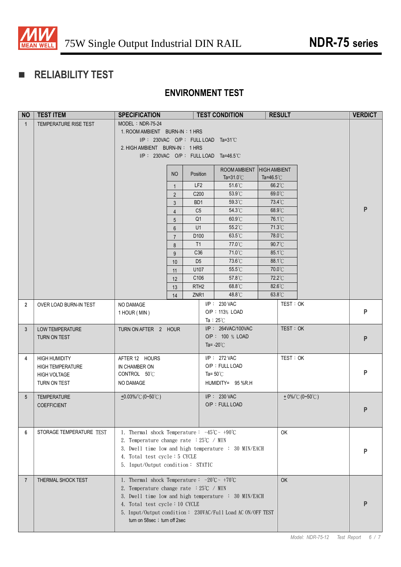

# **RELIABILITY TEST**

## **ENVIRONMENT TEST**

| <b>NO</b>       | <b>TEST ITEM</b>         | <b>SPECIFICATION</b>                                                                                              |                     |                                  | <b>TEST CONDITION</b>                 |                     | <b>RESULT</b> |                     | <b>VERDICT</b>     |
|-----------------|--------------------------|-------------------------------------------------------------------------------------------------------------------|---------------------|----------------------------------|---------------------------------------|---------------------|---------------|---------------------|--------------------|
| $\mathbf{1}$    | TEMPERATURE RISE TEST    | MODEL: NDR-75-24                                                                                                  |                     |                                  |                                       |                     |               |                     |                    |
|                 |                          | 1. ROOM AMBIENT BURN-IN: 1 HRS                                                                                    |                     |                                  |                                       |                     |               |                     |                    |
|                 |                          |                                                                                                                   |                     |                                  | $I/P$ : 230VAC O/P: FULL LOAD Ta=31°C |                     |               |                     |                    |
|                 |                          | 2. HIGH AMBIENT BURN-IN: 1 HRS                                                                                    |                     |                                  |                                       |                     |               |                     |                    |
|                 |                          |                                                                                                                   |                     |                                  | I/P: 230VAC O/P: FULL LOAD Ta=46.5°C  |                     |               |                     |                    |
|                 |                          |                                                                                                                   |                     |                                  | ROOM AMBIENT                          | <b>HIGH AMBIENT</b> |               |                     |                    |
|                 |                          |                                                                                                                   | <b>NO</b>           | Position                         | Ta= $31.0^{\circ}$ C                  | Ta=46.5 $°C$        |               |                     |                    |
|                 |                          |                                                                                                                   | $\mathbf{1}$        | LF <sub>2</sub>                  | 51.6°C                                | 66.2°C              |               |                     |                    |
|                 |                          |                                                                                                                   | $\overline{2}$      | C200                             | 53.9°C                                | 69.0°C              |               |                     |                    |
|                 |                          |                                                                                                                   | 3                   | B <sub>D</sub> 1                 | 59.3°C                                | 73.4°C              |               |                     | P                  |
|                 |                          |                                                                                                                   | $\overline{4}$      | C <sub>5</sub><br>Q <sub>1</sub> | 54.3°C<br>60.9°C                      | 68.9°C<br>76.1°C    |               |                     |                    |
|                 |                          |                                                                                                                   | 5<br>$6\phantom{1}$ | U1                               | 55.2°C                                | 71.3°C              |               |                     |                    |
|                 |                          |                                                                                                                   | $\overline{7}$      | D <sub>100</sub>                 | $63.5^{\circ}$ C                      | 78.0°C              |               |                     |                    |
|                 |                          |                                                                                                                   | 8                   | T1                               | 77.0°C                                | 90.7°C              |               |                     |                    |
|                 |                          |                                                                                                                   | 9                   | C36                              | 71.0°C                                | 85.1°C              |               |                     |                    |
|                 |                          |                                                                                                                   | 10                  | D <sub>5</sub>                   | 73.6°C                                | 88.1°C              |               |                     |                    |
|                 |                          |                                                                                                                   | 11                  | U107                             | 55.5°C                                | 70.0°C              |               |                     |                    |
|                 |                          |                                                                                                                   | 12                  | C106                             | 57.8°C                                | 72.2°C              |               |                     |                    |
|                 |                          |                                                                                                                   | 13                  | RTH <sub>2</sub>                 | 68.8°C                                | 82.6°C              |               |                     |                    |
|                 |                          |                                                                                                                   | 14                  | ZNR1                             | 48.8°C                                | 63.8°C              |               |                     |                    |
| $\overline{2}$  | OVER LOAD BURN-IN TEST   | NO DAMAGE                                                                                                         |                     |                                  | I/P: 230 VAC                          |                     | TEST: OK      |                     |                    |
|                 |                          | 1 HOUR (MIN)                                                                                                      |                     |                                  | O/P: 113% LOAD<br>Ta: $25^{\circ}$ C  |                     |               |                     | P                  |
| 3               | <b>LOW TEMPERATURE</b>   | TURN ON AFTER 2 HOUR                                                                                              |                     |                                  | I/P: 264VAC/100VAC                    |                     | TEST: OK      |                     |                    |
|                 | TURN ON TEST             |                                                                                                                   |                     |                                  | O/P: 100 % LOAD                       |                     |               |                     | ${\sf P}$          |
|                 |                          |                                                                                                                   |                     |                                  | Ta= $-20^{\circ}$ C                   |                     |               |                     |                    |
| 4               | <b>HIGH HUMIDITY</b>     | AFTER 12 HOURS                                                                                                    |                     |                                  | I/P: 272 VAC                          |                     | TEST: OK      |                     |                    |
|                 | <b>HIGH TEMPERATURE</b>  | IN CHAMBER ON                                                                                                     |                     |                                  | O/P: FULL LOAD                        |                     |               |                     |                    |
|                 | <b>HIGH VOLTAGE</b>      | CONTROL 50°C                                                                                                      |                     |                                  | Ta= $50^{\circ}$ C                    |                     |               |                     | P                  |
|                 | TURN ON TEST             | NO DAMAGE                                                                                                         |                     |                                  | HUMIDITY= 95 %R.H                     |                     |               |                     |                    |
|                 |                          |                                                                                                                   |                     |                                  |                                       |                     |               |                     |                    |
| $5\phantom{.0}$ | <b>TEMPERATURE</b>       | $+0.03\%$ $^{\circ}$ C (0~50 $^{\circ}$ C)                                                                        |                     |                                  | $I/P$ : 230 VAC<br>O/P: FULL LOAD     |                     |               | $+0\%$ /°C (0~50°C) |                    |
|                 | <b>COEFFICIENT</b>       |                                                                                                                   |                     |                                  |                                       |                     |               |                     | P                  |
|                 |                          |                                                                                                                   |                     |                                  |                                       |                     |               |                     |                    |
| 6               | STORAGE TEMPERATURE TEST | 1. Thermal shock Temperature: $-45^{\circ}\text{C} \sim +90^{\circ}\text{C}$                                      |                     |                                  |                                       |                     | OK            |                     |                    |
|                 |                          | 2. Temperature change rate $:25^{\circ}C \rightarrow MIN$                                                         |                     |                                  |                                       |                     |               |                     |                    |
|                 |                          | 3. Dwell time low and high temperature : 30 MIN/EACH                                                              |                     |                                  |                                       |                     |               |                     |                    |
|                 |                          | 4. Total test cycle: 5 CYCLE                                                                                      |                     |                                  |                                       |                     |               |                     | P                  |
|                 |                          | 5. Input/Output condition: STATIC                                                                                 |                     |                                  |                                       |                     |               |                     |                    |
|                 |                          |                                                                                                                   |                     |                                  |                                       |                     |               |                     |                    |
| $\overline{7}$  | THERMAL SHOCK TEST       | 1. Thermal shock Temperature: $-20^{\circ}\text{C} \sim +70^{\circ}\text{C}$                                      |                     |                                  |                                       |                     | <b>OK</b>     |                     |                    |
|                 |                          | 2. Temperature change rate $:25^{\circ}C \rightarrow MIN$<br>3. Dwell time low and high temperature : 30 MIN/EACH |                     |                                  |                                       |                     |               |                     |                    |
|                 |                          | 4. Total test cycle: 10 CYCLE                                                                                     |                     |                                  |                                       |                     |               |                     | P                  |
|                 |                          | 5. Input/Output condition: 230VAC/Full Load AC ON/OFF TEST                                                        |                     |                                  |                                       |                     |               |                     |                    |
|                 |                          | turn on 58sec ; turn off 2sec                                                                                     |                     |                                  |                                       |                     |               |                     |                    |
|                 |                          |                                                                                                                   |                     |                                  |                                       |                     |               |                     |                    |
|                 |                          |                                                                                                                   |                     |                                  |                                       |                     |               | Model: NDR-75-12    | Test Report<br>6/7 |